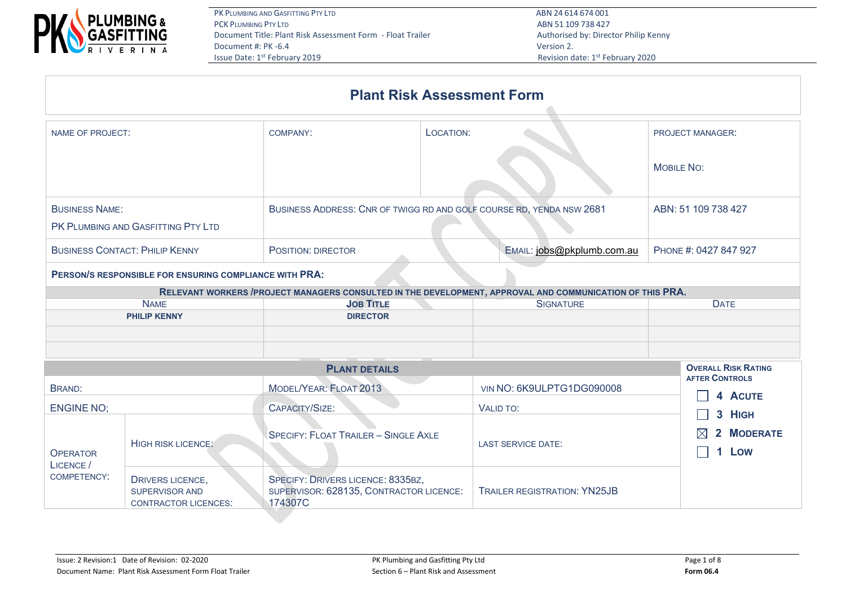

ABN 51 109 738 427 Revision date: 1st February 2020

|                                       |                                                        |                                                                      | <b>Plant Risk Assessment Form</b>                                                                         |                                  |  |  |
|---------------------------------------|--------------------------------------------------------|----------------------------------------------------------------------|-----------------------------------------------------------------------------------------------------------|----------------------------------|--|--|
| <b>NAME OF PROJECT:</b>               |                                                        | <b>COMPANY:</b>                                                      | LOCATION:                                                                                                 | <b>PROJECT MANAGER:</b>          |  |  |
|                                       |                                                        |                                                                      | <b>MOBILE NO:</b>                                                                                         |                                  |  |  |
| <b>BUSINESS NAME:</b>                 | PK PLUMBING AND GASFITTING PTY LTD                     | BUSINESS ADDRESS: CNR OF TWIGG RD AND GOLF COURSE RD, YENDA NSW 2681 | ABN: 51 109 738 427                                                                                       |                                  |  |  |
| <b>BUSINESS CONTACT: PHILIP KENNY</b> |                                                        | POSITION: DIRECTOR                                                   | EMAIL: jobs@pkplumb.com.au                                                                                | PHONE #: 0427 847 927            |  |  |
|                                       | PERSON/S RESPONSIBLE FOR ENSURING COMPLIANCE WITH PRA: |                                                                      |                                                                                                           |                                  |  |  |
|                                       |                                                        |                                                                      | RELEVANT WORKERS / PROJECT MANAGERS CONSULTED IN THE DEVELOPMENT, APPROVAL AND COMMUNICATION OF THIS PRA. |                                  |  |  |
|                                       | <b>NAME</b>                                            | <b>JOB TITLE</b>                                                     | <b>SIGNATURE</b>                                                                                          | <b>DATE</b>                      |  |  |
|                                       | <b>PHILIP KENNY</b>                                    | <b>DIRECTOR</b>                                                      |                                                                                                           |                                  |  |  |
|                                       |                                                        |                                                                      |                                                                                                           |                                  |  |  |
|                                       | <b>OVERALL RISK RATING</b>                             |                                                                      |                                                                                                           |                                  |  |  |
| <b>BRAND:</b>                         |                                                        | MODEL/YEAR: FLOAT 2013                                               | VIN NO: 6K9ULPTG1DG090008                                                                                 | <b>AFTER CONTROLS</b><br>4 ACUTE |  |  |
| <b>ENGINE NO:</b>                     |                                                        | CAPACITY/SIZE:                                                       | VALID TO:                                                                                                 | 3 HIGH                           |  |  |
|                                       | HIGH RISK LICENCE:                                     | <b>SPECIFY: FLOAT TRAILER - SINGLE AXLE</b>                          | <b>LAST SERVICE DATE:</b>                                                                                 | <b>MODERATE</b>                  |  |  |

| <b>OPERATOR</b><br>LICENCE / | HIGH RISK LICENCE:                                                |                                                                                         | <b>LAST SERVICE DATE:</b>           | Low |  |  |
|------------------------------|-------------------------------------------------------------------|-----------------------------------------------------------------------------------------|-------------------------------------|-----|--|--|
| COMPETENCY:                  | DRIVERS LICENCE.<br>SUPERVISOR AND<br><b>CONTRACTOR LICENCES:</b> | SPECIFY: DRIVERS LICENCE: 8335BZ,<br>SUPERVISOR: 628135, CONTRACTOR LICENCE:<br>174307C | <b>TRAILER REGISTRATION: YN25JB</b> |     |  |  |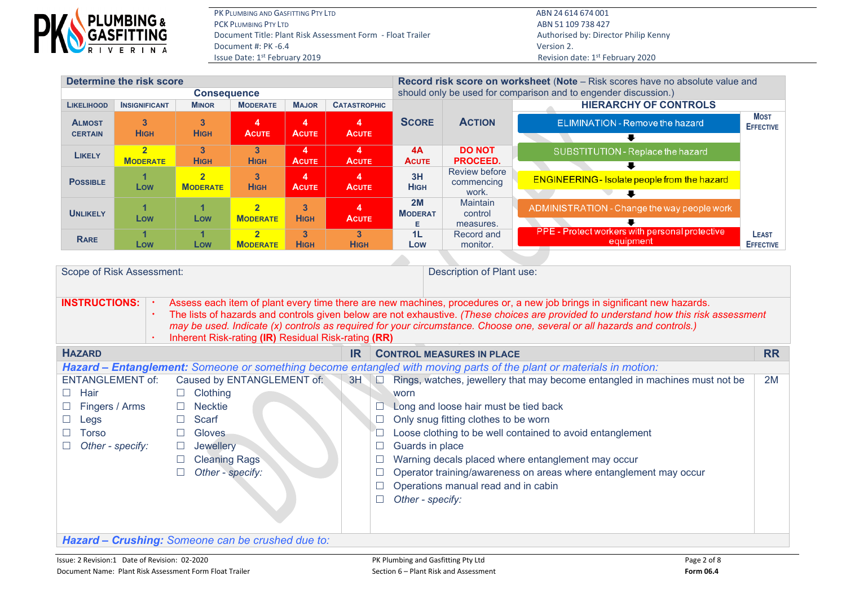

PK PLUMBING AND GASFITTING PTY LTD **ABN 24 614 674 001** PCK PLUMBING PTY LTD ABN 51 109 738 427 Document Title: Plant Risk Assessment Form - Float Trailer Authorised by: Director Philip Kenny Document #: PK -6.4 Version 2. Issue Date: 1<sup>st</sup> February 2019 **Revision date: 1<sup>st</sup> February 2020** 

| Determine the risk score        |                                                                                                                                                                                  |                                   |                                   |                   |                               | <b>Record risk score on worksheet (Note</b> – Risk scores have no absolute value and |                                                                 |                                                             |                                  |  |  |  |  |
|---------------------------------|----------------------------------------------------------------------------------------------------------------------------------------------------------------------------------|-----------------------------------|-----------------------------------|-------------------|-------------------------------|--------------------------------------------------------------------------------------|-----------------------------------------------------------------|-------------------------------------------------------------|----------------------------------|--|--|--|--|
|                                 |                                                                                                                                                                                  | <b>Consequence</b>                |                                   |                   |                               |                                                                                      | should only be used for comparison and to engender discussion.) |                                                             |                                  |  |  |  |  |
| <b>LIKELIHOOD</b>               | <b>INSIGNIFICANT</b>                                                                                                                                                             | <b>MINOR</b>                      | <b>MODERATE</b>                   | <b>MAJOR</b>      | <b>CATASTROPHIC</b>           |                                                                                      |                                                                 | <b>HIERARCHY OF CONTROLS</b>                                |                                  |  |  |  |  |
| <b>ALMOST</b><br><b>CERTAIN</b> | $\mathbf{3}$<br><b>HIGH</b>                                                                                                                                                      | 3<br><b>HIGH</b>                  | <b>ACUTE</b>                      | 4<br><b>ACUTE</b> | 4<br><b>ACUTE</b>             | <b>SCORE</b>                                                                         | <b>ACTION</b>                                                   | <b>ELIMINATION - Remove the hazard</b>                      | <b>MOST</b><br><b>EFFECTIVE</b>  |  |  |  |  |
| <b>LIKELY</b>                   | $\overline{\mathbf{2}}$<br><b>MODERATE</b>                                                                                                                                       | 3<br><b>HIGH</b>                  | 3<br><b>HIGH</b>                  | 4<br><b>ACUTE</b> | 4<br><b>ACUTE</b>             | 4A<br>ACUTE                                                                          | <b>DO NOT</b><br><b>PROCEED.</b>                                | SUBSTITUTION - Replace the hazard                           |                                  |  |  |  |  |
| <b>POSSIBLE</b>                 | Low                                                                                                                                                                              | $\overline{2}$<br><b>MODERATE</b> | 3<br><b>HIGH</b>                  | 4<br><b>ACUTE</b> | 4<br><b>ACUTE</b>             | 3H<br><b>HIGH</b>                                                                    | <b>Review before</b><br>commencing<br>work.                     | <b>ENGINEERING - Isolate people from the hazard</b>         |                                  |  |  |  |  |
| <b>UNLIKELY</b>                 | Low                                                                                                                                                                              | Low                               | $\overline{2}$<br><b>MODERATE</b> | 3<br><b>HIGH</b>  | <b>ACUTE</b>                  | 2M<br><b>MODERAT</b>                                                                 | <b>Maintain</b><br>control<br>measures.                         | ADMINISTRATION - Change the way people work                 |                                  |  |  |  |  |
| <b>RARE</b>                     | Low                                                                                                                                                                              | Low                               | $\overline{2}$<br><b>MODERATE</b> | 3<br><b>HIGH</b>  | 3 <sup>1</sup><br><b>HIGH</b> | 1 <sub>L</sub><br>Low                                                                | Record and<br>monitor.                                          | PPE - Protect workers with personal protective<br>equipment | <b>LEAST</b><br><b>EFFECTIVE</b> |  |  |  |  |
|                                 |                                                                                                                                                                                  |                                   |                                   |                   |                               |                                                                                      |                                                                 |                                                             |                                  |  |  |  |  |
| <b>INCTDHCTIONS.</b>            | Scope of Risk Assessment:<br>Description of Plant use:<br>Access each item of plant eveny time there are new machines, procedures or a new job brings in significant new bazards |                                   |                                   |                   |                               |                                                                                      |                                                                 |                                                             |                                  |  |  |  |  |

**INSTRUCTIONS:** | Assess each item of plant every time there are new machines, procedures or, a new job brings in significant new hazards. The lists of hazards and controls given below are not exhaustive. *(These choices are provided to understand how this risk assessment may be used. Indicate (x) controls as required for your circumstance. Choose one, several or all hazards and controls.)*

|                                                                                                                     | Inherent Risk-rating (IR) Residual Risk-rating (RR) |           |                                                                             |           |  |  |  |  |  |  |
|---------------------------------------------------------------------------------------------------------------------|-----------------------------------------------------|-----------|-----------------------------------------------------------------------------|-----------|--|--|--|--|--|--|
| <b>HAZARD</b>                                                                                                       |                                                     | <b>IR</b> | <b>CONTROL MEASURES IN PLACE</b>                                            | <b>RR</b> |  |  |  |  |  |  |
| Hazard – Entanglement: Someone or something become entangled with moving parts of the plant or materials in motion: |                                                     |           |                                                                             |           |  |  |  |  |  |  |
| <b>ENTANGLEMENT of:</b>                                                                                             | Caused by ENTANGLEMENT of:                          | 3H        | Rings, watches, jewellery that may become entangled in machines must not be | 2M        |  |  |  |  |  |  |
| Hair<br><b>I</b>                                                                                                    | Clothing                                            |           | worn                                                                        |           |  |  |  |  |  |  |
| Fingers / Arms                                                                                                      | Necktie                                             |           | Long and loose hair must be tied back                                       |           |  |  |  |  |  |  |
| Legs                                                                                                                | Scarf                                               |           | Only snug fitting clothes to be worn                                        |           |  |  |  |  |  |  |
| Torso                                                                                                               | <b>Gloves</b>                                       |           | Loose clothing to be well contained to avoid entanglement                   |           |  |  |  |  |  |  |
| Other - specify:                                                                                                    | <b>Jewellery</b>                                    |           | Guards in place                                                             |           |  |  |  |  |  |  |
|                                                                                                                     | <b>Cleaning Rags</b>                                |           | Warning decals placed where entanglement may occur                          |           |  |  |  |  |  |  |
|                                                                                                                     | Other - specify:                                    |           | Operator training/awareness on areas where entanglement may occur           |           |  |  |  |  |  |  |
|                                                                                                                     |                                                     |           | Operations manual read and in cabin                                         |           |  |  |  |  |  |  |
|                                                                                                                     |                                                     |           | Other - specify:                                                            |           |  |  |  |  |  |  |
|                                                                                                                     |                                                     |           |                                                                             |           |  |  |  |  |  |  |
|                                                                                                                     |                                                     |           |                                                                             |           |  |  |  |  |  |  |
|                                                                                                                     | Hazard - Crushing: Someone can be crushed due to:   |           |                                                                             |           |  |  |  |  |  |  |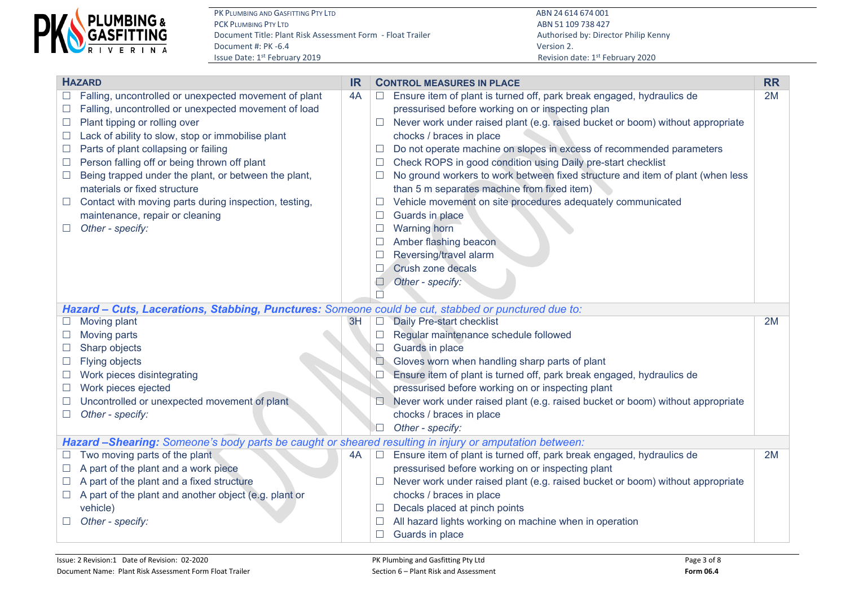

PK PLUMBING AND GASFITTING PTY LTD **ABN 24 614 674 001** PCK PLUMBING PTY LTD ABN 51 109 738 427 Document Title: Plant Risk Assessment Form - Float Trailer Authorised by: Director Philip Kenny Document #: PK -6.4 Version 2.<br>
Issue Date: 1<sup>st</sup> February 2019 **Accord 2.** According to the US of the US of the US of the US of the US of the U

|        | <b>HAZARD</b>                                                                                          | <b>IR</b> |        | <b>CONTROL MEASURES IN PLACE</b>                                                                                              | <b>RR</b> |  |  |  |  |  |  |
|--------|--------------------------------------------------------------------------------------------------------|-----------|--------|-------------------------------------------------------------------------------------------------------------------------------|-----------|--|--|--|--|--|--|
| $\Box$ | Falling, uncontrolled or unexpected movement of plant                                                  | 4A        | $\Box$ | Ensure item of plant is turned off, park break engaged, hydraulics de                                                         | 2M        |  |  |  |  |  |  |
| $\Box$ | Falling, uncontrolled or unexpected movement of load                                                   |           |        | pressurised before working on or inspecting plan                                                                              |           |  |  |  |  |  |  |
| $\Box$ | Plant tipping or rolling over                                                                          |           | ш      | Never work under raised plant (e.g. raised bucket or boom) without appropriate                                                |           |  |  |  |  |  |  |
| $\Box$ | Lack of ability to slow, stop or immobilise plant                                                      |           |        | chocks / braces in place                                                                                                      |           |  |  |  |  |  |  |
| $\Box$ | Parts of plant collapsing or failing                                                                   |           |        | Do not operate machine on slopes in excess of recommended parameters                                                          |           |  |  |  |  |  |  |
| $\Box$ | Person falling off or being thrown off plant                                                           |           |        | Check ROPS in good condition using Daily pre-start checklist                                                                  |           |  |  |  |  |  |  |
| $\Box$ | Being trapped under the plant, or between the plant,<br>materials or fixed structure                   |           |        | No ground workers to work between fixed structure and item of plant (when less<br>than 5 m separates machine from fixed item) |           |  |  |  |  |  |  |
| $\Box$ | Contact with moving parts during inspection, testing,                                                  |           |        | Vehicle movement on site procedures adequately communicated                                                                   |           |  |  |  |  |  |  |
|        | maintenance, repair or cleaning                                                                        |           | $\Box$ | Guards in place                                                                                                               |           |  |  |  |  |  |  |
|        | Other - specify:                                                                                       |           |        | <b>Warning</b> horn                                                                                                           |           |  |  |  |  |  |  |
|        |                                                                                                        |           |        | Amber flashing beacon                                                                                                         |           |  |  |  |  |  |  |
|        |                                                                                                        |           |        | Reversing/travel alarm                                                                                                        |           |  |  |  |  |  |  |
|        |                                                                                                        |           |        | Crush zone decals                                                                                                             |           |  |  |  |  |  |  |
|        |                                                                                                        |           |        | Other - specify:                                                                                                              |           |  |  |  |  |  |  |
|        |                                                                                                        |           |        |                                                                                                                               |           |  |  |  |  |  |  |
|        | Hazard - Cuts, Lacerations, Stabbing, Punctures: Someone could be cut, stabbed or punctured due to:    |           |        |                                                                                                                               |           |  |  |  |  |  |  |
|        | Moving plant                                                                                           | 3H        | $\Box$ | Daily Pre-start checklist                                                                                                     | 2M        |  |  |  |  |  |  |
| $\Box$ | Moving parts                                                                                           |           | $\Box$ | Regular maintenance schedule followed                                                                                         |           |  |  |  |  |  |  |
| $\Box$ | Sharp objects                                                                                          |           | $\Box$ | Guards in place                                                                                                               |           |  |  |  |  |  |  |
| $\Box$ | <b>Flying objects</b>                                                                                  |           |        | Gloves worn when handling sharp parts of plant                                                                                |           |  |  |  |  |  |  |
| $\Box$ | Work pieces disintegrating                                                                             |           |        | Ensure item of plant is turned off, park break engaged, hydraulics de                                                         |           |  |  |  |  |  |  |
| $\Box$ | Work pieces ejected                                                                                    |           |        | pressurised before working on or inspecting plant                                                                             |           |  |  |  |  |  |  |
|        | Uncontrolled or unexpected movement of plant                                                           |           |        | Never work under raised plant (e.g. raised bucket or boom) without appropriate                                                |           |  |  |  |  |  |  |
| $\Box$ | Other - specify:                                                                                       |           |        | chocks / braces in place                                                                                                      |           |  |  |  |  |  |  |
|        |                                                                                                        |           |        | Other - specify:                                                                                                              |           |  |  |  |  |  |  |
|        | Hazard -Shearing: Someone's body parts be caught or sheared resulting in injury or amputation between: |           |        |                                                                                                                               |           |  |  |  |  |  |  |
|        | Two moving parts of the plant                                                                          | 4A        | $\Box$ | Ensure item of plant is turned off, park break engaged, hydraulics de                                                         | 2M        |  |  |  |  |  |  |
|        | A part of the plant and a work piece                                                                   |           |        | pressurised before working on or inspecting plant                                                                             |           |  |  |  |  |  |  |
|        | A part of the plant and a fixed structure                                                              |           |        | Never work under raised plant (e.g. raised bucket or boom) without appropriate                                                |           |  |  |  |  |  |  |
| $\Box$ | A part of the plant and another object (e.g. plant or                                                  |           |        | chocks / braces in place                                                                                                      |           |  |  |  |  |  |  |
|        | vehicle)                                                                                               |           |        | Decals placed at pinch points                                                                                                 |           |  |  |  |  |  |  |
|        | Other - specify:                                                                                       |           |        | All hazard lights working on machine when in operation                                                                        |           |  |  |  |  |  |  |
|        |                                                                                                        |           |        | Guards in place                                                                                                               |           |  |  |  |  |  |  |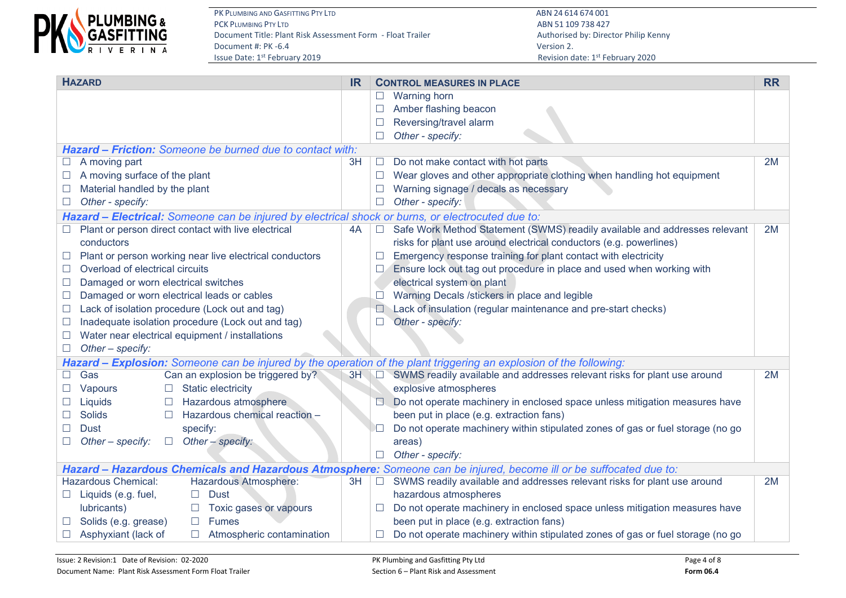

PK PLUMBING AND GASFITTING PTY LTD **ABN 24 614 674 001** PCK PLUMBING PTY LTD ABN 51 109 738 427 Document Title: Plant Risk Assessment Form - Float Trailer Authorised by: Director Philip Kenny Document #: PK -6.4 Version 2.<br>
Issue Date: 1<sup>st</sup> February 2019 **Accord 2.** According to the US of the US of the US of the US of the US of the U

| <b>HAZARD</b>                                                                                                      |    |                | <b>CONTROL MEASURES IN PLACE</b>                                                                                   | <b>RR</b> |
|--------------------------------------------------------------------------------------------------------------------|----|----------------|--------------------------------------------------------------------------------------------------------------------|-----------|
|                                                                                                                    |    |                | <b>Warning horn</b>                                                                                                |           |
|                                                                                                                    |    |                | Amber flashing beacon                                                                                              |           |
|                                                                                                                    |    |                | Reversing/travel alarm                                                                                             |           |
|                                                                                                                    |    |                | Other - specify:                                                                                                   |           |
| <b>Hazard - Friction:</b> Someone be burned due to contact with:                                                   |    |                |                                                                                                                    |           |
| $\Box$ A moving part                                                                                               | 3H | $\mathcal{L}$  | Do not make contact with hot parts                                                                                 | 2M        |
| A moving surface of the plant                                                                                      |    | $\Box$         | Wear gloves and other appropriate clothing when handling hot equipment                                             |           |
| Material handled by the plant                                                                                      |    |                | Warning signage / decals as necessary                                                                              |           |
| Other - specify:                                                                                                   |    |                | Other - specify:                                                                                                   |           |
| Hazard - Electrical: Someone can be injured by electrical shock or burns, or electrocuted due to:                  |    |                |                                                                                                                    |           |
| Plant or person direct contact with live electrical                                                                | 4A |                | Safe Work Method Statement (SWMS) readily available and addresses relevant                                         | 2M        |
| conductors                                                                                                         |    |                | risks for plant use around electrical conductors (e.g. powerlines)                                                 |           |
| Plant or person working near live electrical conductors                                                            |    |                | Emergency response training for plant contact with electricity                                                     |           |
| Overload of electrical circuits                                                                                    |    |                | Ensure lock out tag out procedure in place and used when working with                                              |           |
| Damaged or worn electrical switches<br>$\Box$                                                                      |    |                | electrical system on plant                                                                                         |           |
| Damaged or worn electrical leads or cables                                                                         |    |                | Warning Decals /stickers in place and legible                                                                      |           |
| Lack of isolation procedure (Lock out and tag)<br>$\overline{\phantom{a}}$                                         |    | O              | Lack of insulation (regular maintenance and pre-start checks)                                                      |           |
| Inadequate isolation procedure (Lock out and tag)<br>⊔                                                             |    |                | Other - specify:                                                                                                   |           |
| Water near electrical equipment / installations                                                                    |    |                |                                                                                                                    |           |
| Other - specify:                                                                                                   |    |                |                                                                                                                    |           |
| Hazard - Explosion: Someone can be injured by the operation of the plant triggering an explosion of the following: |    |                |                                                                                                                    |           |
| Can an explosion be triggered by?<br>Gas                                                                           | 3H |                | SWMS readily available and addresses relevant risks for plant use around                                           | 2M        |
| Static electricity<br>Vapours<br>$\Box$                                                                            |    |                | explosive atmospheres                                                                                              |           |
| Hazardous atmosphere<br>Liquids<br>$\Box$                                                                          |    |                | Do not operate machinery in enclosed space unless mitigation measures have                                         |           |
| Hazardous chemical reaction -<br><b>Solids</b><br>$\Box$                                                           |    |                | been put in place (e.g. extraction fans)                                                                           |           |
| <b>Dust</b><br>specify:                                                                                            |    |                | Do not operate machinery within stipulated zones of gas or fuel storage (no go                                     |           |
| Other - specify:<br>Other - specify:<br>$\Box$                                                                     |    |                | areas)                                                                                                             |           |
|                                                                                                                    |    |                | Other - specify:                                                                                                   |           |
|                                                                                                                    |    |                | Hazard - Hazardous Chemicals and Hazardous Atmosphere: Someone can be injured, become ill or be suffocated due to: |           |
| <b>Hazardous Chemical:</b><br>Hazardous Atmosphere:                                                                | 3H | <b>COLLEGE</b> | SWMS readily available and addresses relevant risks for plant use around                                           | 2M        |
| $\Box$ Liquids (e.g. fuel,<br><b>Dust</b><br>$\Box$                                                                |    |                | hazardous atmospheres                                                                                              |           |
| lubricants)<br>Toxic gases or vapours                                                                              |    |                | Do not operate machinery in enclosed space unless mitigation measures have                                         |           |
| Solids (e.g. grease)<br><b>Fumes</b><br>$\Box$                                                                     |    |                | been put in place (e.g. extraction fans)                                                                           |           |
| Asphyxiant (lack of<br>Atmospheric contamination<br>$\Box$                                                         |    |                | Do not operate machinery within stipulated zones of gas or fuel storage (no go                                     |           |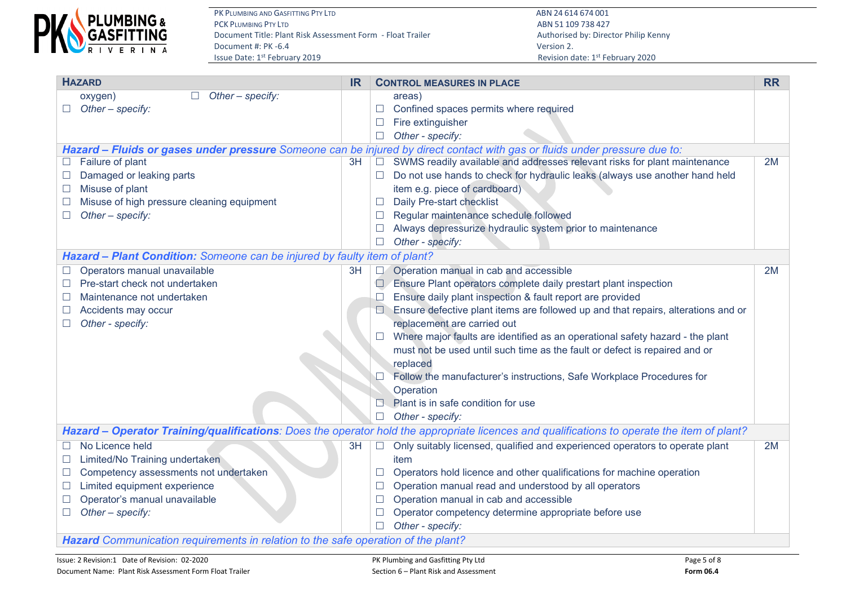

PK PLUMBING AND GASFITTING PTY LTD **ABN 24 614 674 001** PCK PLUMBING PTY LTD ABN 51 109 738 427 Document Title: Plant Risk Assessment Form - Float Trailer Authorised by: Director Philip Kenny Document #: PK -6.4 Version 2.<br>
Issue Date: 1<sup>st</sup> February 2019 **And Access 2.** Also because the property of the Revision discussion discussion of

| <b>HAZARD</b>                                                                     | <b>IR</b> | <b>CONTROL MEASURES IN PLACE</b>                                                                                                            | <b>RR</b> |  |  |  |  |  |  |
|-----------------------------------------------------------------------------------|-----------|---------------------------------------------------------------------------------------------------------------------------------------------|-----------|--|--|--|--|--|--|
| Other - specify:<br>oxygen)<br>$\Box$                                             |           | areas)                                                                                                                                      |           |  |  |  |  |  |  |
| $\Box$ Other – specify:                                                           |           | Confined spaces permits where required<br>$\Box$                                                                                            |           |  |  |  |  |  |  |
|                                                                                   |           | Fire extinguisher                                                                                                                           |           |  |  |  |  |  |  |
|                                                                                   |           | Other - specify:<br>$\Box$                                                                                                                  |           |  |  |  |  |  |  |
|                                                                                   |           | Hazard - Fluids or gases under pressure Someone can be injured by direct contact with gas or fluids under pressure due to:                  |           |  |  |  |  |  |  |
| Failure of plant                                                                  | 3H        | SWMS readily available and addresses relevant risks for plant maintenance<br>$\Box$                                                         | 2M        |  |  |  |  |  |  |
| Damaged or leaking parts                                                          |           | Do not use hands to check for hydraulic leaks (always use another hand held                                                                 |           |  |  |  |  |  |  |
| Misuse of plant                                                                   |           | item e.g. piece of cardboard)                                                                                                               |           |  |  |  |  |  |  |
| Misuse of high pressure cleaning equipment                                        |           | Daily Pre-start checklist<br>⊔                                                                                                              |           |  |  |  |  |  |  |
| Other - specify:                                                                  |           | Regular maintenance schedule followed<br>$\Box$                                                                                             |           |  |  |  |  |  |  |
|                                                                                   |           | Always depressurize hydraulic system prior to maintenance                                                                                   |           |  |  |  |  |  |  |
|                                                                                   |           | Other - specify:                                                                                                                            |           |  |  |  |  |  |  |
| Hazard - Plant Condition: Someone can be injured by faulty item of plant?         |           |                                                                                                                                             |           |  |  |  |  |  |  |
| Operators manual unavailable                                                      | 3H        | Operation manual in cab and accessible<br>$\Box$                                                                                            | 2M        |  |  |  |  |  |  |
| Pre-start check not undertaken                                                    |           | Ensure Plant operators complete daily prestart plant inspection<br>⊔                                                                        |           |  |  |  |  |  |  |
| Maintenance not undertaken                                                        |           | Ensure daily plant inspection & fault report are provided                                                                                   |           |  |  |  |  |  |  |
| Accidents may occur                                                               |           | Ensure defective plant items are followed up and that repairs, alterations and or                                                           |           |  |  |  |  |  |  |
| Other - specify:                                                                  |           | replacement are carried out                                                                                                                 |           |  |  |  |  |  |  |
|                                                                                   |           | Where major faults are identified as an operational safety hazard - the plant                                                               |           |  |  |  |  |  |  |
|                                                                                   |           | must not be used until such time as the fault or defect is repaired and or                                                                  |           |  |  |  |  |  |  |
|                                                                                   |           | replaced                                                                                                                                    |           |  |  |  |  |  |  |
|                                                                                   |           | Follow the manufacturer's instructions, Safe Workplace Procedures for                                                                       |           |  |  |  |  |  |  |
|                                                                                   |           | Operation                                                                                                                                   |           |  |  |  |  |  |  |
|                                                                                   |           | Plant is in safe condition for use                                                                                                          |           |  |  |  |  |  |  |
|                                                                                   |           | Other - specify:<br>$\Box$                                                                                                                  |           |  |  |  |  |  |  |
|                                                                                   |           | Hazard - Operator Training/qualifications: Does the operator hold the appropriate licences and qualifications to operate the item of plant? |           |  |  |  |  |  |  |
| $\Box$ No Licence held                                                            | 3H        | Only suitably licensed, qualified and experienced operators to operate plant<br>$\Box$                                                      | 2M        |  |  |  |  |  |  |
| Limited/No Training undertaken                                                    |           | item                                                                                                                                        |           |  |  |  |  |  |  |
| Competency assessments not undertaken                                             |           | Operators hold licence and other qualifications for machine operation<br>Ш                                                                  |           |  |  |  |  |  |  |
| Limited equipment experience                                                      |           | Operation manual read and understood by all operators<br>$\Box$                                                                             |           |  |  |  |  |  |  |
| Operator's manual unavailable                                                     |           | Operation manual in cab and accessible                                                                                                      |           |  |  |  |  |  |  |
| Other - specify:<br>$\Box$                                                        |           | Operator competency determine appropriate before use                                                                                        |           |  |  |  |  |  |  |
|                                                                                   |           | Other - specify:                                                                                                                            |           |  |  |  |  |  |  |
| Hazard Communication requirements in relation to the safe operation of the plant? |           |                                                                                                                                             |           |  |  |  |  |  |  |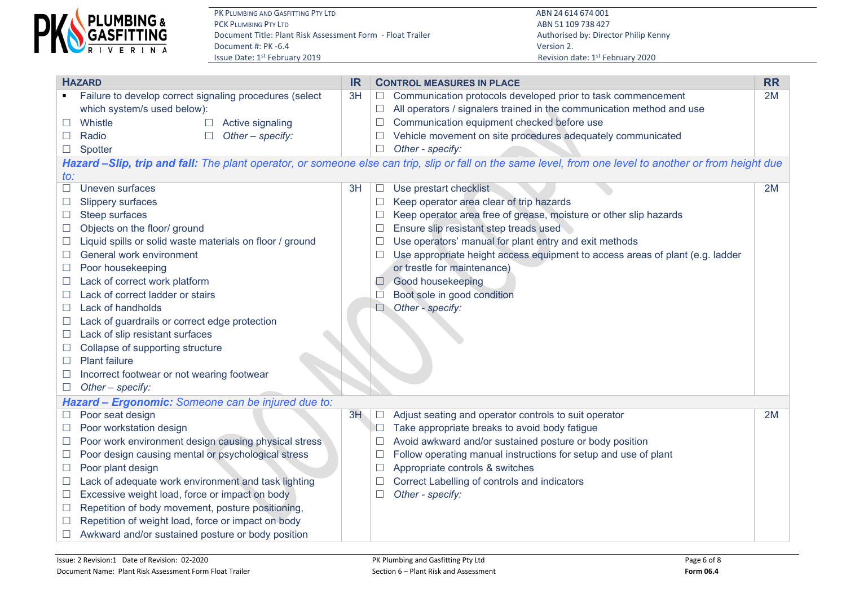

PK PLUMBING AND GASFITTING PTY LTD **ABN 24 614 674 001**<br>PCK PLUMBING PTY LTD ABN 51 109 738 427 Document Title: Plant Risk Assessment Form - Float Trailer Authorised by: Director Philip Kenny Document #: PK -6.4 Version 2.<br>
Issue Date: 1<sup>st</sup> February 2019 **And Access 2.** Also because the property of the Revision discussion discussion of

ABN 51 109 738 427 Revision date: 1st February 2020

| <b>HAZARD</b>            |                                                                                                                                                         |    |        | <b>CONTROL MEASURES IN PLACE</b>                                              | <b>RR</b> |  |  |  |  |  |  |  |
|--------------------------|---------------------------------------------------------------------------------------------------------------------------------------------------------|----|--------|-------------------------------------------------------------------------------|-----------|--|--|--|--|--|--|--|
|                          | Failure to develop correct signaling procedures (select                                                                                                 | 3H | $\Box$ | Communication protocols developed prior to task commencement                  | 2M        |  |  |  |  |  |  |  |
|                          | which system/s used below):                                                                                                                             |    | $\Box$ | All operators / signalers trained in the communication method and use         |           |  |  |  |  |  |  |  |
| ப                        | Whistle<br>Active signaling<br>$\Box$                                                                                                                   |    | $\Box$ | Communication equipment checked before use                                    |           |  |  |  |  |  |  |  |
| $\Box$                   | Radio<br>Other - specify:<br>$\Box$                                                                                                                     |    | $\Box$ | Vehicle movement on site procedures adequately communicated                   |           |  |  |  |  |  |  |  |
| $\Box$                   | Spotter                                                                                                                                                 |    | $\Box$ | Other - specify:                                                              |           |  |  |  |  |  |  |  |
|                          | Hazard -Slip, trip and fall: The plant operator, or someone else can trip, slip or fall on the same level, from one level to another or from height due |    |        |                                                                               |           |  |  |  |  |  |  |  |
| to:                      |                                                                                                                                                         |    |        |                                                                               |           |  |  |  |  |  |  |  |
|                          | Uneven surfaces                                                                                                                                         | 3H | $\Box$ | Use prestart checklist                                                        | 2M        |  |  |  |  |  |  |  |
|                          | <b>Slippery surfaces</b>                                                                                                                                |    | $\Box$ | Keep operator area clear of trip hazards                                      |           |  |  |  |  |  |  |  |
| $\Box$                   | Steep surfaces                                                                                                                                          |    | ப      | Keep operator area free of grease, moisture or other slip hazards             |           |  |  |  |  |  |  |  |
|                          | Objects on the floor/ ground                                                                                                                            |    | $\Box$ | Ensure slip resistant step treads used                                        |           |  |  |  |  |  |  |  |
| $\Box$                   | Liquid spills or solid waste materials on floor / ground                                                                                                |    | $\Box$ | Use operators' manual for plant entry and exit methods                        |           |  |  |  |  |  |  |  |
| $\overline{\phantom{a}}$ | General work environment                                                                                                                                |    | $\Box$ | Use appropriate height access equipment to access areas of plant (e.g. ladder |           |  |  |  |  |  |  |  |
| ப                        | Poor housekeeping                                                                                                                                       |    |        | or trestle for maintenance)                                                   |           |  |  |  |  |  |  |  |
| $\Box$                   | Lack of correct work platform                                                                                                                           |    | $\Box$ | Good housekeeping                                                             |           |  |  |  |  |  |  |  |
| $\Box$                   | Lack of correct ladder or stairs                                                                                                                        |    | $\Box$ | Boot sole in good condition                                                   |           |  |  |  |  |  |  |  |
| $\Box$                   | Lack of handholds                                                                                                                                       |    | $\Box$ | Other - specify:                                                              |           |  |  |  |  |  |  |  |
| ப                        | Lack of guardrails or correct edge protection                                                                                                           |    |        |                                                                               |           |  |  |  |  |  |  |  |
| $\Box$                   | Lack of slip resistant surfaces                                                                                                                         |    |        |                                                                               |           |  |  |  |  |  |  |  |
|                          | Collapse of supporting structure                                                                                                                        |    |        |                                                                               |           |  |  |  |  |  |  |  |
|                          | <b>Plant failure</b>                                                                                                                                    |    |        |                                                                               |           |  |  |  |  |  |  |  |
|                          | Incorrect footwear or not wearing footwear                                                                                                              |    |        |                                                                               |           |  |  |  |  |  |  |  |
| $\Box$                   | Other - specify:                                                                                                                                        |    |        |                                                                               |           |  |  |  |  |  |  |  |
|                          | Hazard - Ergonomic: Someone can be injured due to:                                                                                                      |    |        |                                                                               |           |  |  |  |  |  |  |  |
| $\Box$                   | Poor seat design                                                                                                                                        | 3H | $\Box$ | Adjust seating and operator controls to suit operator                         | 2M        |  |  |  |  |  |  |  |
| $\Box$                   | Poor workstation design                                                                                                                                 |    | $\Box$ | Take appropriate breaks to avoid body fatigue                                 |           |  |  |  |  |  |  |  |
| $\Box$                   | Poor work environment design causing physical stress                                                                                                    |    | $\Box$ | Avoid awkward and/or sustained posture or body position                       |           |  |  |  |  |  |  |  |
| ⊔                        | Poor design causing mental or psychological stress                                                                                                      |    | $\Box$ | Follow operating manual instructions for setup and use of plant               |           |  |  |  |  |  |  |  |
| $\Box$                   | Poor plant design                                                                                                                                       |    | $\Box$ | Appropriate controls & switches                                               |           |  |  |  |  |  |  |  |
| $\Box$                   | Lack of adequate work environment and task lighting                                                                                                     |    | $\Box$ | Correct Labelling of controls and indicators                                  |           |  |  |  |  |  |  |  |
| Ш                        | Excessive weight load, force or impact on body                                                                                                          |    | $\Box$ | Other - specify:                                                              |           |  |  |  |  |  |  |  |
| $\Box$                   | Repetition of body movement, posture positioning,                                                                                                       |    |        |                                                                               |           |  |  |  |  |  |  |  |
|                          | Repetition of weight load, force or impact on body                                                                                                      |    |        |                                                                               |           |  |  |  |  |  |  |  |
|                          | Awkward and/or sustained posture or body position                                                                                                       |    |        |                                                                               |           |  |  |  |  |  |  |  |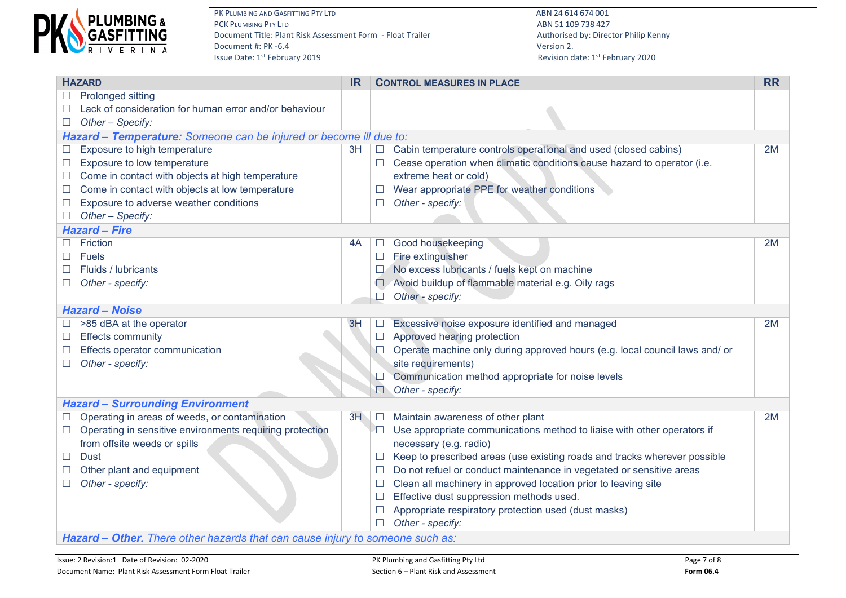

PK PLUMBING AND GASFITTING PTY LTD **ABN 24 614 674 001**<br>PCK PLUMBING PTY LTD ABN 51 109 738 427 Document Title: Plant Risk Assessment Form - Float Trailer Authorised by: Director Philip Kenny Document #: PK -6.4 Version 2.<br>
Issue Date: 1<sup>st</sup> February 2019 **And Access 2.** Also because the property of the Revision discussion discussion of

ABN 51 109 738 427 Revision date: 1st February 2020

| <b>HAZARD</b>                                                      |                                                                               | <b>IR</b> |               | <b>CONTROL MEASURES IN PLACE</b>                                            | <b>RR</b> |  |  |  |  |  |  |
|--------------------------------------------------------------------|-------------------------------------------------------------------------------|-----------|---------------|-----------------------------------------------------------------------------|-----------|--|--|--|--|--|--|
| $\Box$                                                             | Prolonged sitting                                                             |           |               |                                                                             |           |  |  |  |  |  |  |
|                                                                    | Lack of consideration for human error and/or behaviour                        |           |               |                                                                             |           |  |  |  |  |  |  |
| $\Box$                                                             | Other - Specify:                                                              |           |               |                                                                             |           |  |  |  |  |  |  |
| Hazard - Temperature: Someone can be injured or become ill due to: |                                                                               |           |               |                                                                             |           |  |  |  |  |  |  |
|                                                                    | Exposure to high temperature                                                  | 3H        | $\Box$        | Cabin temperature controls operational and used (closed cabins)             | 2M        |  |  |  |  |  |  |
| $\Box$                                                             | Exposure to low temperature                                                   |           | $\Box$        | Cease operation when climatic conditions cause hazard to operator (i.e.     |           |  |  |  |  |  |  |
| $\mathcal{L}$                                                      | Come in contact with objects at high temperature                              |           |               | extreme heat or cold)                                                       |           |  |  |  |  |  |  |
| $\mathcal{L}$                                                      | Come in contact with objects at low temperature                               |           | $\mathcal{L}$ | Wear appropriate PPE for weather conditions                                 |           |  |  |  |  |  |  |
| $\Box$                                                             | Exposure to adverse weather conditions                                        |           | $\Box$        | Other - specify:                                                            |           |  |  |  |  |  |  |
| $\Box$                                                             | Other - Specify:                                                              |           |               |                                                                             |           |  |  |  |  |  |  |
|                                                                    | <b>Hazard - Fire</b>                                                          |           |               |                                                                             |           |  |  |  |  |  |  |
|                                                                    | Friction                                                                      | 4A        | $\Box$        | Good housekeeping                                                           | 2M        |  |  |  |  |  |  |
|                                                                    | <b>Fuels</b>                                                                  |           | $\Box$        | Fire extinguisher                                                           |           |  |  |  |  |  |  |
|                                                                    | Fluids / lubricants                                                           |           |               | No excess lubricants / fuels kept on machine                                |           |  |  |  |  |  |  |
| $\Box$                                                             | Other - specify:                                                              |           |               | Avoid buildup of flammable material e.g. Oily rags                          |           |  |  |  |  |  |  |
| Other - specify:                                                   |                                                                               |           |               |                                                                             |           |  |  |  |  |  |  |
|                                                                    | <b>Hazard - Noise</b>                                                         |           |               |                                                                             |           |  |  |  |  |  |  |
|                                                                    | >85 dBA at the operator                                                       | 3H        | $\Box$        | Excessive noise exposure identified and managed                             | 2M        |  |  |  |  |  |  |
|                                                                    | <b>Effects community</b>                                                      |           | $\Box$        | Approved hearing protection                                                 |           |  |  |  |  |  |  |
|                                                                    | Effects operator communication                                                |           |               | Operate machine only during approved hours (e.g. local council laws and/ or |           |  |  |  |  |  |  |
|                                                                    | Other - specify:                                                              |           |               | site requirements)                                                          |           |  |  |  |  |  |  |
|                                                                    |                                                                               |           |               | Communication method appropriate for noise levels                           |           |  |  |  |  |  |  |
|                                                                    |                                                                               |           | $\Box$        | Other - specify:                                                            |           |  |  |  |  |  |  |
|                                                                    | <b>Hazard - Surrounding Environment</b>                                       |           |               |                                                                             |           |  |  |  |  |  |  |
|                                                                    | Operating in areas of weeds, or contamination                                 | 3H        | $\Box$        | Maintain awareness of other plant                                           | 2M        |  |  |  |  |  |  |
| $\Box$                                                             | Operating in sensitive environments requiring protection                      |           | $\Box$        | Use appropriate communications method to liaise with other operators if     |           |  |  |  |  |  |  |
|                                                                    | from offsite weeds or spills                                                  |           |               | necessary (e.g. radio)                                                      |           |  |  |  |  |  |  |
| $\Box$                                                             | <b>Dust</b>                                                                   |           |               | Keep to prescribed areas (use existing roads and tracks wherever possible   |           |  |  |  |  |  |  |
|                                                                    | Other plant and equipment                                                     |           |               | Do not refuel or conduct maintenance in vegetated or sensitive areas        |           |  |  |  |  |  |  |
|                                                                    | Other - specify:                                                              |           |               | Clean all machinery in approved location prior to leaving site              |           |  |  |  |  |  |  |
|                                                                    |                                                                               |           |               | Effective dust suppression methods used.                                    |           |  |  |  |  |  |  |
|                                                                    |                                                                               |           |               | Appropriate respiratory protection used (dust masks)                        |           |  |  |  |  |  |  |
|                                                                    |                                                                               |           | П.            | Other - specify:                                                            |           |  |  |  |  |  |  |
|                                                                    | Hazard - Other. There other hazards that can cause injury to someone such as: |           |               |                                                                             |           |  |  |  |  |  |  |

Issue: 2 Revision:1 Date of Revision: 02-2020 **PK Plumbing and Gasfitting Pty Ltd** Page 7 of 8 Document Name: Plant Risk Assessment Form Float Trailer **Section 6 – Plant Risk and Assessment Form 06.4 Form 06.4**